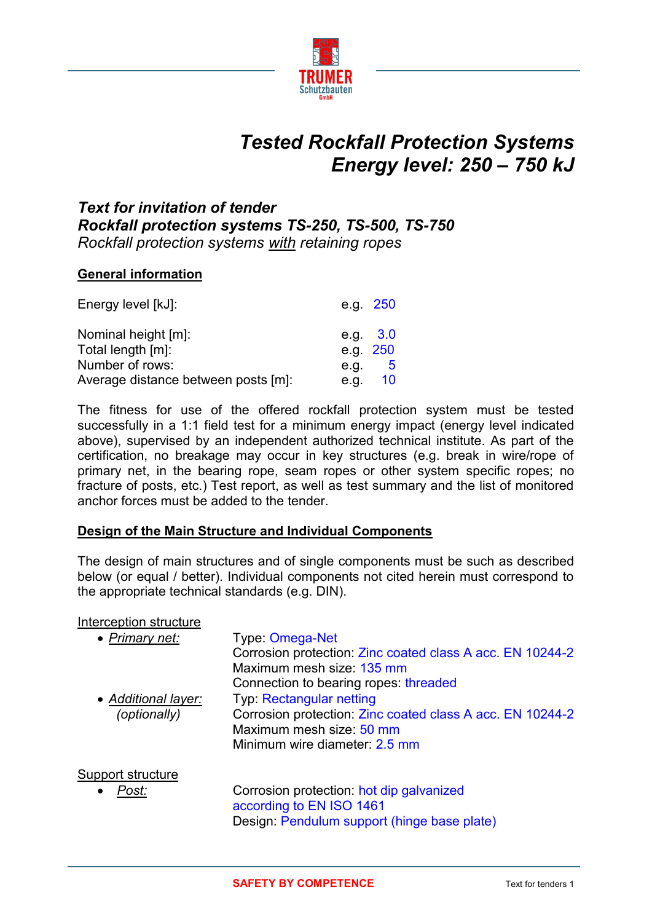

# *Tested Rockfall Protection Systems Energy level: 250 – 750 kJ*

# *Text for invitation of tender Rockfall protection systems TS-250, TS-500, TS-750 Rockfall protection systems with retaining ropes*

# **General information**

| Energy level [kJ]:                  |            | e.g. 250 |
|-------------------------------------|------------|----------|
| Nominal height [m]:                 | e.g. $3.0$ |          |
| Total length [m]:                   | e.g. 250   |          |
| Number of rows:                     | e.g.       | - 5      |
| Average distance between posts [m]: | e.g.       | 10       |

The fitness for use of the offered rockfall protection system must be tested successfully in a 1:1 field test for a minimum energy impact (energy level indicated above), supervised by an independent authorized technical institute. As part of the certification, no breakage may occur in key structures (e.g. break in wire/rope of primary net, in the bearing rope, seam ropes or other system specific ropes; no fracture of posts, etc.) Test report, as well as test summary and the list of monitored anchor forces must be added to the tender.

# **Design of the Main Structure and Individual Components**

The design of main structures and of single components must be such as described below (or equal / better). Individual components not cited herein must correspond to the appropriate technical standards (e.g. DIN).

#### Interception structure

| • Primary net:           | Type: Omega-Net<br>Corrosion protection: Zinc coated class A acc. EN 10244-2<br>Maximum mesh size: 135 mm |
|--------------------------|-----------------------------------------------------------------------------------------------------------|
|                          | Connection to bearing ropes: threaded                                                                     |
| • Additional layer:      | Typ: Rectangular netting                                                                                  |
| (optionally)             | Corrosion protection: Zinc coated class A acc. EN 10244-2                                                 |
|                          | Maximum mesh size: 50 mm                                                                                  |
|                          | Minimum wire diameter: 2.5 mm                                                                             |
| <u>Support structure</u> |                                                                                                           |
| Post:                    | Corrosion protection: hot dip galvanized                                                                  |
|                          | according to EN ISO 1461                                                                                  |
|                          | Design: Pendulum support (hinge base plate)                                                               |
|                          |                                                                                                           |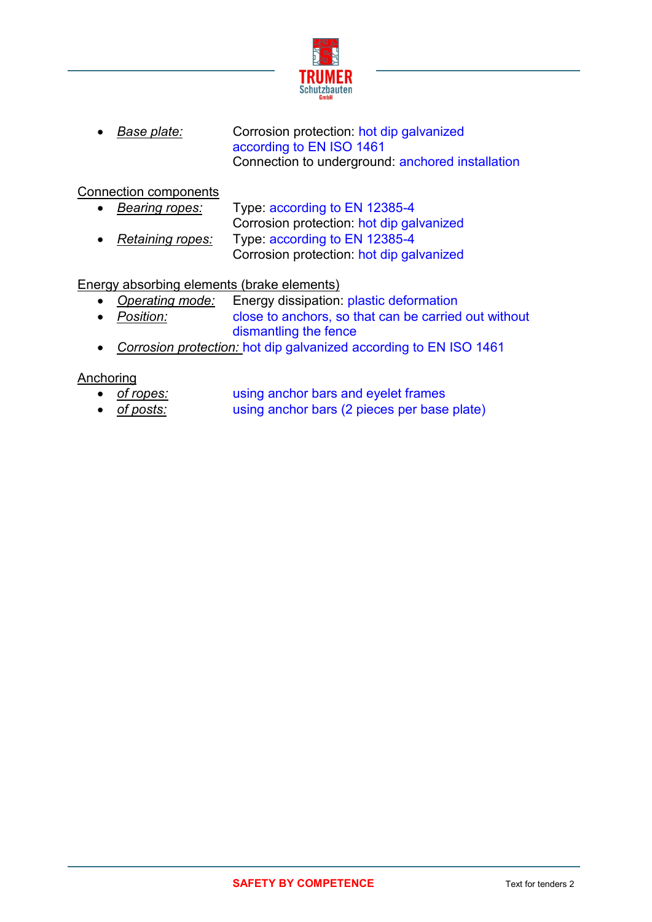

*Base plate:* Corrosion protection: hot dip galvanized according to EN ISO 1461 Connection to underground: anchored installation

# Connection components

 *Bearing ropes:* Type: according to EN 12385-4 Corrosion protection: hot dip galvanized *Retaining ropes:* Type: according to EN 12385-4 Corrosion protection: hot dip galvanized

# Energy absorbing elements (brake elements)

- *Operating mode:* Energy dissipation: plastic deformation
- *Position:* close to anchors, so that can be carried out without dismantling the fence
- *Corrosion protection:* hot dip galvanized according to EN ISO 1461

# Anchoring

- *of ropes:* using anchor bars and eyelet frames
- *of posts:* using anchor bars (2 pieces per base plate)